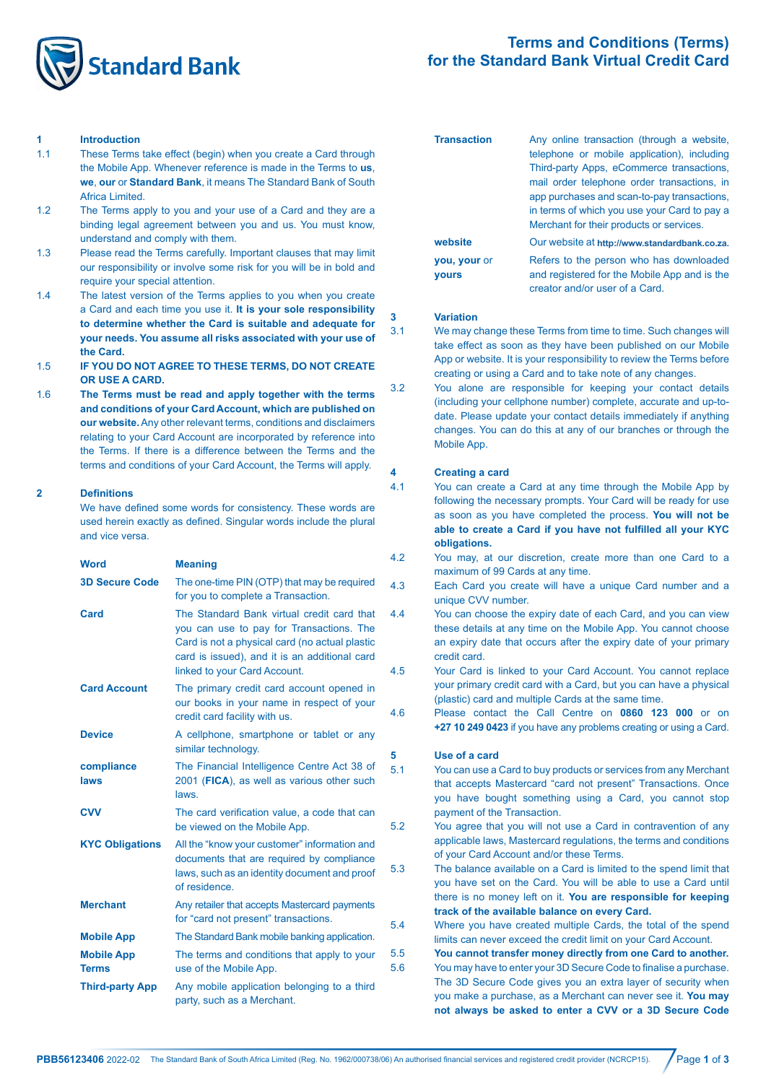

# **Terms and Conditions (Terms) for the Standard Bank Virtual Credit Card**

#### **1 Introduction**

- 1.1 These Terms take effect (begin) when you create a Card through the Mobile App. Whenever reference is made in the Terms to **us**, **we**, **our** or **Standard Bank**, it means The Standard Bank of South Africa Limited.
- 1.2 The Terms apply to you and your use of a Card and they are a binding legal agreement between you and us. You must know, understand and comply with them.
- 1.3 Please read the Terms carefully. Important clauses that may limit our responsibility or involve some risk for you will be in bold and require your special attention.
- 1.4 The latest version of the Terms applies to you when you create a Card and each time you use it. **It is your sole responsibility to determine whether the Card is suitable and adequate for your needs. You assume all risks associated with your use of the Card.**
- 1.5 **IF YOU DO NOT AGREE TO THESE TERMS, DO NOT CREATE OR USE A CARD.**
- 1.6 **The Terms must be read and apply together with the terms and conditions of your Card Account, which are published on our website.** Any other relevant terms, conditions and disclaimers relating to your Card Account are incorporated by reference into the Terms. If there is a difference between the Terms and the terms and conditions of your Card Account, the Terms will apply.

#### **2 Definitions**

 We have defined some words for consistency. These words are used herein exactly as defined. Singular words include the plural and vice versa.

| <b>Meaning</b>                                                                                                                                                                                                            |        |
|---------------------------------------------------------------------------------------------------------------------------------------------------------------------------------------------------------------------------|--------|
| The one-time PIN (OTP) that may be required<br>for you to complete a Transaction.                                                                                                                                         | Ź      |
| The Standard Bank virtual credit card that<br>you can use to pay for Transactions. The<br>Card is not a physical card (no actual plastic<br>card is issued), and it is an additional card<br>linked to your Card Account. | Ź<br>۷ |
| The primary credit card account opened in<br>our books in your name in respect of your<br>credit card facility with us.                                                                                                   | ۷      |
| A cellphone, smartphone or tablet or any<br>similar technology.                                                                                                                                                           | ŧ      |
| The Financial Intelligence Centre Act 38 of<br>2001 (FICA), as well as various other such<br>laws.                                                                                                                        |        |
| The card verification value, a code that can<br>be viewed on the Mobile App.                                                                                                                                              | ξ      |
| All the "know your customer" information and<br>documents that are required by compliance<br>laws, such as an identity document and proof<br>of residence.                                                                | ξ      |
| Any retailer that accepts Mastercard payments<br>for "card not present" transactions.                                                                                                                                     | ξ      |
| The Standard Bank mobile banking application.                                                                                                                                                                             |        |
| The terms and conditions that apply to your                                                                                                                                                                               |        |
| use of the Mobile App.                                                                                                                                                                                                    | ŧ      |
|                                                                                                                                                                                                                           |        |

| <b>Transaction</b>  | Any online transaction (through a website,    |
|---------------------|-----------------------------------------------|
|                     | telephone or mobile application), including   |
|                     | Third-party Apps, eCommerce transactions,     |
|                     | mail order telephone order transactions, in   |
|                     | app purchases and scan-to-pay transactions.   |
|                     | in terms of which you use your Card to pay a  |
|                     | Merchant for their products or services.      |
| website             | Our website at http://www.standardbank.co.za. |
| <b>you, your or</b> | Refers to the person who has downloaded       |
| <b>vours</b>        | and registered for the Mobile App and is the  |
|                     | creator and/or user of a Card.                |

#### **3 Variation**

- 3.1 We may change these Terms from time to time. Such changes will take effect as soon as they have been published on our Mobile App or website. It is your responsibility to review the Terms before creating or using a Card and to take note of any changes.
- 3.2 You alone are responsible for keeping your contact details (including your cellphone number) complete, accurate and up-todate. Please update your contact details immediately if anything changes. You can do this at any of our branches or through the Mobile App.

## **4 Creating a card**

- 4.1 You can create a Card at any time through the Mobile App by following the necessary prompts. Your Card will be ready for use as soon as you have completed the process. **You will not be able to create a Card if you have not fulfilled all your KYC obligations.**
- 4.2 You may, at our discretion, create more than one Card to a maximum of 99 Cards at any time.
- 4.3 Each Card you create will have a unique Card number and a unique CVV number.
- 4.4 You can choose the expiry date of each Card, and you can view these details at any time on the Mobile App. You cannot choose an expiry date that occurs after the expiry date of your primary credit card.
- 4.5 Your Card is linked to your Card Account. You cannot replace your primary credit card with a Card, but you can have a physical (plastic) card and multiple Cards at the same time.
- 4.6 Please contact the Call Centre on **0860 123 000** or on **+27 10 249 0423** if you have any problems creating or using a Card.

## **5 Use of a card**

- 5.1 You can use a Card to buy products or services from any Merchant that accepts Mastercard "card not present" Transactions. Once you have bought something using a Card, you cannot stop payment of the Transaction.
- 5.2 You agree that you will not use a Card in contravention of any applicable laws, Mastercard regulations, the terms and conditions of your Card Account and/or these Terms.
- 5.3 The balance available on a Card is limited to the spend limit that you have set on the Card. You will be able to use a Card until there is no money left on it. **You are responsible for keeping track of the available balance on every Card.**
- 5.4 Where you have created multiple Cards, the total of the spend limits can never exceed the credit limit on your Card Account.
- 5.5 **You cannot transfer money directly from one Card to another.**
- 5.6 You may have to enter your 3D Secure Code to finalise a purchase. The 3D Secure Code gives you an extra layer of security when you make a purchase, as a Merchant can never see it. **You may not always be asked to enter a CVV or a 3D Secure Code**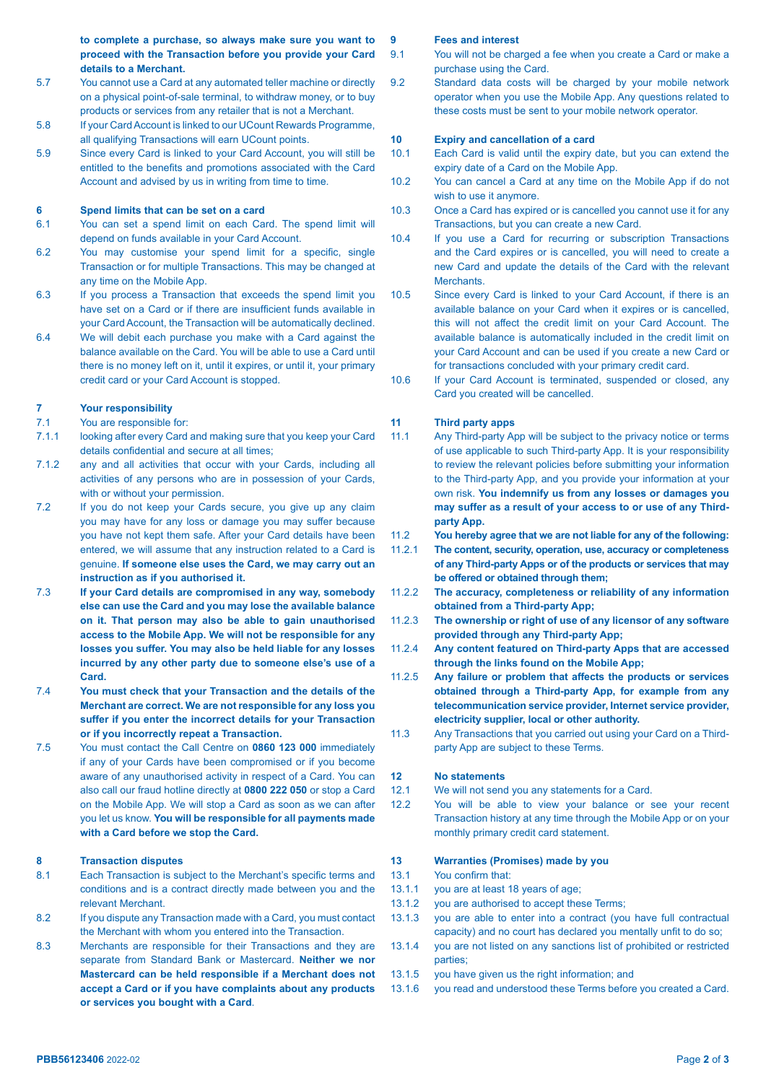**to complete a purchase, so always make sure you want to proceed with the Transaction before you provide your Card details to a Merchant.**

- 5.7 You cannot use a Card at any automated teller machine or directly on a physical point-of-sale terminal, to withdraw money, or to buy products or services from any retailer that is not a Merchant.
- 5.8 If your Card Account is linked to our UCount Rewards Programme, all qualifying Transactions will earn UCount points.
- 5.9 Since every Card is linked to your Card Account, you will still be entitled to the benefits and promotions associated with the Card Account and advised by us in writing from time to time.

#### **6 Spend limits that can be set on a card**

- 6.1 You can set a spend limit on each Card. The spend limit will depend on funds available in your Card Account.
- 6.2 You may customise your spend limit for a specific, single Transaction or for multiple Transactions. This may be changed at any time on the Mobile App.
- 6.3 If you process a Transaction that exceeds the spend limit you have set on a Card or if there are insufficient funds available in your Card Account, the Transaction will be automatically declined.
- 6.4 We will debit each purchase you make with a Card against the balance available on the Card. You will be able to use a Card until there is no money left on it, until it expires, or until it, your primary credit card or your Card Account is stopped.

# **7 Your responsibility**

- 7.1 You are responsible for:
- 7.1.1 looking after every Card and making sure that you keep your Card details confidential and secure at all times;
- 7.1.2 any and all activities that occur with your Cards, including all activities of any persons who are in possession of your Cards, with or without your permission.
- 7.2 If you do not keep your Cards secure, you give up any claim you may have for any loss or damage you may suffer because you have not kept them safe. After your Card details have been entered, we will assume that any instruction related to a Card is genuine. **If someone else uses the Card, we may carry out an instruction as if you authorised it.**
- 7.3 **If your Card details are compromised in any way, somebody else can use the Card and you may lose the available balance on it. That person may also be able to gain unauthorised access to the Mobile App. We will not be responsible for any losses you suffer. You may also be held liable for any losses incurred by any other party due to someone else's use of a Card.**
- 7.4 **You must check that your Transaction and the details of the Merchant are correct. We are not responsible for any loss you suffer if you enter the incorrect details for your Transaction or if you incorrectly repeat a Transaction.**
- 7.5 You must contact the Call Centre on **0860 123 000** immediately if any of your Cards have been compromised or if you become aware of any unauthorised activity in respect of a Card. You can also call our fraud hotline directly at **0800 222 050** or stop a Card on the Mobile App. We will stop a Card as soon as we can after you let us know. **You will be responsible for all payments made with a Card before we stop the Card.**

## **8 Transaction disputes**

- 8.1 Each Transaction is subject to the Merchant's specific terms and conditions and is a contract directly made between you and the relevant Merchant.
- 8.2 If you dispute any Transaction made with a Card, you must contact the Merchant with whom you entered into the Transaction.
- 8.3 Merchants are responsible for their Transactions and they are separate from Standard Bank or Mastercard. **Neither we nor Mastercard can be held responsible if a Merchant does not accept a Card or if you have complaints about any products or services you bought with a Card**.

## **9 Fees and interest**

- 9.1 You will not be charged a fee when you create a Card or make a purchase using the Card.
- 9.2 Standard data costs will be charged by your mobile network operator when you use the Mobile App. Any questions related to these costs must be sent to your mobile network operator.

#### **10 Expiry and cancellation of a card**

- 10.1 Each Card is valid until the expiry date, but you can extend the expiry date of a Card on the Mobile App.
- 10.2 You can cancel a Card at any time on the Mobile App if do not wish to use it anymore.
- 10.3 Once a Card has expired or is cancelled you cannot use it for any Transactions, but you can create a new Card.
- 10.4 If you use a Card for recurring or subscription Transactions and the Card expires or is cancelled, you will need to create a new Card and update the details of the Card with the relevant **Merchants**
- 10.5 Since every Card is linked to your Card Account, if there is an available balance on your Card when it expires or is cancelled, this will not affect the credit limit on your Card Account. The available balance is automatically included in the credit limit on your Card Account and can be used if you create a new Card or for transactions concluded with your primary credit card.
- 10.6 If your Card Account is terminated, suspended or closed, any Card you created will be cancelled.

## **11 Third party apps**

- 11.1 Any Third-party App will be subject to the privacy notice or terms of use applicable to such Third-party App. It is your responsibility to review the relevant policies before submitting your information to the Third-party App, and you provide your information at your own risk. **You indemnify us from any losses or damages you may suffer as a result of your access to or use of any Thirdparty App.**
- 11.2 **You hereby agree that we are not liable for any of the following:**
- 11.2.1 **The content, security, operation, use, accuracy or completeness of any Third-party Apps or of the products or services that may be offered or obtained through them;**
- 11.2.2 **The accuracy, completeness or reliability of any information obtained from a Third-party App;**
- 11.2.3 **The ownership or right of use of any licensor of any software provided through any Third-party App;**
- 11.2.4 **Any content featured on Third-party Apps that are accessed through the links found on the Mobile App;**
- 11.2.5 **Any failure or problem that affects the products or services obtained through a Third-party App, for example from any telecommunication service provider, Internet service provider, electricity supplier, local or other authority.**
- 11.3 Any Transactions that you carried out using your Card on a Thirdparty App are subject to these Terms.

## **12 No statements**

- 12.1 We will not send you any statements for a Card.
- 12.2 You will be able to view your balance or see your recent Transaction history at any time through the Mobile App or on your monthly primary credit card statement.

## **13 Warranties (Promises) made by you**

- 13.1 You confirm that:
- 13.1.1 you are at least 18 years of age;
- 13.1.2 you are authorised to accept these Terms;
- 13.1.3 you are able to enter into a contract (you have full contractual capacity) and no court has declared you mentally unfit to do so;
- 13.1.4 you are not listed on any sanctions list of prohibited or restricted parties;
- 13.1.5 you have given us the right information; and
- 13.1.6 you read and understood these Terms before you created a Card.